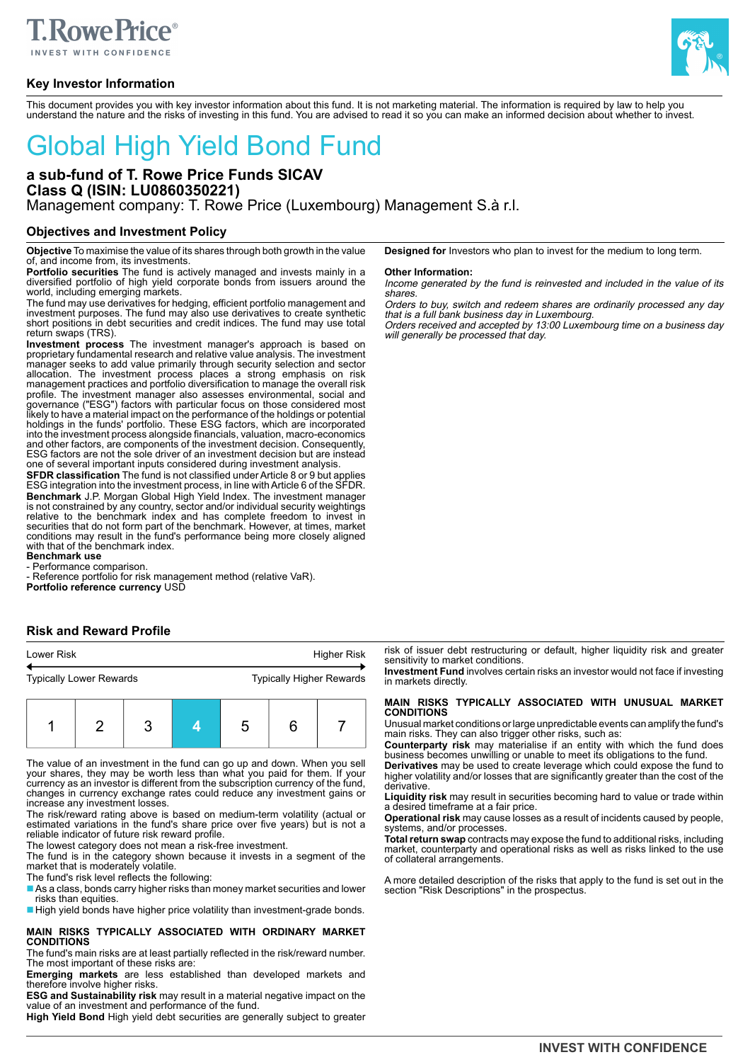

# **Key Investor Information**



This document provides you with key investor information about this fund. It is not marketing material. The information is required by law to help you understand the nature and the risks of investing in this fund. You are advised to read it so you can make an informed decision about whether to invest.

# Global High Yield Bond Fund

# **a sub-fund of T. Rowe Price Funds SICAV Class Q (ISIN: LU0860350221)** Management company: T. Rowe Price (Luxembourg) Management S.à r.l.

## **Objectives and Investment Policy**

**Objective** To maximise the value of its shares through both growth in the value of, and income from, its investments.

**Portfolio securities** The fund is actively managed and invests mainly in a diversified portfolio of high yield corporate bonds from issuers around the world, including emerging markets.

The fund may use derivatives for hedging, efficient portfolio management and investment purposes. The fund may also use derivatives to create synthetic short positions in debt securities and credit indices. The fund may use total return swaps (TRS).

**Investment process** The investment manager's approach is based on proprietary fundamental research and relative value analysis. The investment manager seeks to add value primarily through security selection and sector allocation. The investment process places a strong emphasis on risk management practices and portfolio diversification to manage the overall risk profile. The investment manager also assesses environmental, social and<br>governance ("ESG") factors with particular focus on those considered most<br>likely to have a material impact on the performance of the holdings or poten into the investment process alongside financials, valuation, macro-economics and other factors, are components of the investment decision. Consequently, ESG factors are not the sole driver of an investment decision but are instead one of several important inputs considered during investment analysis.

**SFDR classification** The fund is not classified under Article 8 or 9 but applies ESG integration into the investment process, in line with Article 6 of the SFDR. **Benchmark** J.P. Morgan Global High Yield Index. The investment manager is not constrained by any country, sector and/or individual security weightings relative to the benchmark index and has complete freedom to invest in securities that do not form part of the benchmark. However, at times, market conditions may result in the fund's performance being more closely aligned with that of the benchmark index.

**Benchmark use**

- Performance comparison.

- Reference portfolio for risk management method (relative VaR). **Portfolio reference currency** USD

# **Risk and Reward Profile**

| <b>Higher Risk</b><br><b>Lower Risk</b> |  |   |  |   |   |                                 |
|-----------------------------------------|--|---|--|---|---|---------------------------------|
| <b>Typically Lower Rewards</b>          |  |   |  |   |   | <b>Typically Higher Rewards</b> |
|                                         |  | າ |  | 5 | 6 |                                 |

The value of an investment in the fund can go up and down. When you sell your shares, they may be worth less than what you paid for them. If your currency as an investor is different from the subscription currency of the fund, changes in currency exchange rates could reduce any investment gains or increase any investment losses.

The risk/reward rating above is based on medium-term volatility (actual or estimated variations in the fund's share price over five years) but is not a reliable indicator of future risk reward profile.

The lowest category does not mean a risk-free investment.

The fund is in the category shown because it invests in a segment of the market that is moderately volatile.

The fund's risk level reflects the following:

■ As a class, bonds carry higher risks than money market securities and lower risks than equities.

■ High yield bonds have higher price volatility than investment-grade bonds.

#### **MAIN RISKS TYPICALLY ASSOCIATED WITH ORDINARY MARKET CONDITIONS**

The fund's main risks are at least partially reflected in the risk/reward number. The most important of these risks are:

**Emerging markets** are less established than developed markets and therefore involve higher risks.

**ESG and Sustainability risk** may result in a material negative impact on the value of an investment and performance of the fund.

**High Yield Bond** High yield debt securities are generally subject to greater

**Designed for** Investors who plan to invest for the medium to long term.

#### **Other Information:**

Income generated by the fund is reinvested and included in the value of its shares.

Orders to buy, switch and redeem shares are ordinarily processed any day that is a full bank business day in Luxembourg.

Orders received and accepted by 13:00 Luxembourg time on a business day will generally be processed that day.

risk of issuer debt restructuring or default, higher liquidity risk and greater sensitivity to market conditions.

**Investment Fund** involves certain risks an investor would not face if investing in markets directly.

# **MAIN RISKS TYPICALLY ASSOCIATED WITH UNUSUAL MARKET CONDITIONS**

Unusual market conditions or large unpredictable events can amplify the fund's main risks. They can also trigger other risks, such as:

**Counterparty risk** may materialise if an entity with which the fund does business becomes unwilling or unable to meet its obligations to the fund.

**Derivatives** may be used to create leverage which could expose the fund to higher volatility and/or losses that are significantly greater than the cost of the derivative.

**Liquidity risk** may result in securities becoming hard to value or trade within a desired timeframe at a fair price.

**Operational risk** may cause losses as a result of incidents caused by people, systems, and/or processes.

**Total return swap** contracts may expose the fund to additional risks, including market, counterparty and operational risks as well as risks linked to the use of collateral arrangements.

A more detailed description of the risks that apply to the fund is set out in the section "Risk Descriptions" in the prospectus.